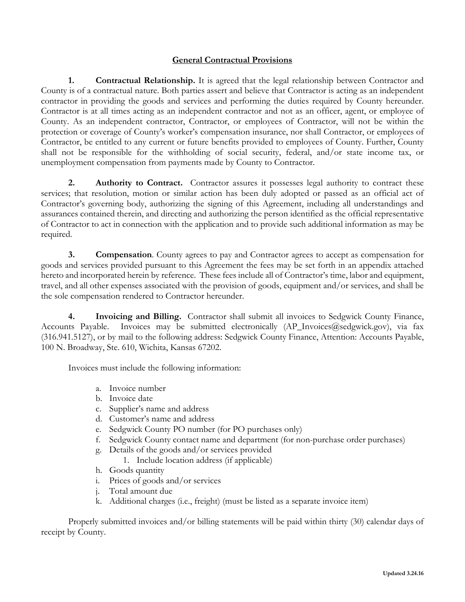## **General Contractual Provisions**

**1. Contractual Relationship.** It is agreed that the legal relationship between Contractor and County is of a contractual nature. Both parties assert and believe that Contractor is acting as an independent contractor in providing the goods and services and performing the duties required by County hereunder. Contractor is at all times acting as an independent contractor and not as an officer, agent, or employee of County. As an independent contractor, Contractor, or employees of Contractor, will not be within the protection or coverage of County's worker's compensation insurance, nor shall Contractor, or employees of Contractor, be entitled to any current or future benefits provided to employees of County. Further, County shall not be responsible for the withholding of social security, federal, and/or state income tax, or unemployment compensation from payments made by County to Contractor.

**2. Authority to Contract.** Contractor assures it possesses legal authority to contract these services; that resolution, motion or similar action has been duly adopted or passed as an official act of Contractor's governing body, authorizing the signing of this Agreement, including all understandings and assurances contained therein, and directing and authorizing the person identified as the official representative of Contractor to act in connection with the application and to provide such additional information as may be required.

**3. Compensation**. County agrees to pay and Contractor agrees to accept as compensation for goods and services provided pursuant to this Agreement the fees may be set forth in an appendix attached hereto and incorporated herein by reference. These fees include all of Contractor's time, labor and equipment, travel, and all other expenses associated with the provision of goods, equipment and/or services, and shall be the sole compensation rendered to Contractor hereunder.

**4. Invoicing and Billing.** Contractor shall submit all invoices to Sedgwick County Finance, Accounts Payable. Invoices may be submitted electronically  $AP$  Invoices@sedgwick.gov), via fax (316.941.5127), or by mail to the following address: Sedgwick County Finance, Attention: Accounts Payable, 100 N. Broadway, Ste. 610, Wichita, Kansas 67202.

Invoices must include the following information:

- a. Invoice number
- b. Invoice date
- c. Supplier's name and address
- d. Customer's name and address
- e. Sedgwick County PO number (for PO purchases only)
- f. Sedgwick County contact name and department (for non-purchase order purchases)
- g. Details of the goods and/or services provided
	- 1. Include location address (if applicable)
- h. Goods quantity
- i. Prices of goods and/or services
- j. Total amount due
- k. Additional charges (i.e., freight) (must be listed as a separate invoice item)

Properly submitted invoices and/or billing statements will be paid within thirty (30) calendar days of receipt by County.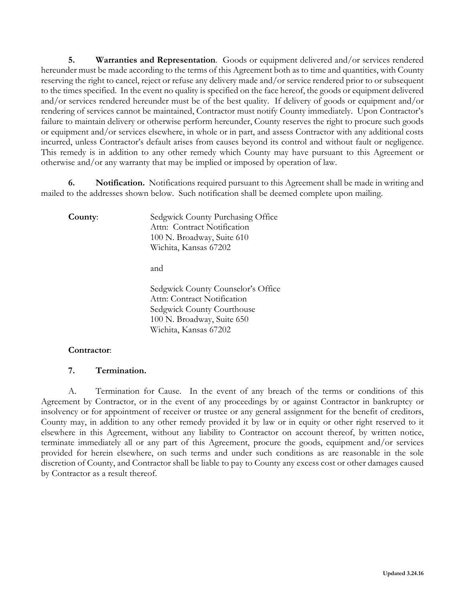**5. Warranties and Representation**. Goods or equipment delivered and/or services rendered hereunder must be made according to the terms of this Agreement both as to time and quantities, with County reserving the right to cancel, reject or refuse any delivery made and/or service rendered prior to or subsequent to the times specified. In the event no quality is specified on the face hereof, the goods or equipment delivered and/or services rendered hereunder must be of the best quality. If delivery of goods or equipment and/or rendering of services cannot be maintained, Contractor must notify County immediately. Upon Contractor's failure to maintain delivery or otherwise perform hereunder, County reserves the right to procure such goods or equipment and/or services elsewhere, in whole or in part, and assess Contractor with any additional costs incurred, unless Contractor's default arises from causes beyond its control and without fault or negligence. This remedy is in addition to any other remedy which County may have pursuant to this Agreement or otherwise and/or any warranty that may be implied or imposed by operation of law.

**6. Notification.** Notifications required pursuant to this Agreement shall be made in writing and mailed to the addresses shown below. Such notification shall be deemed complete upon mailing.

**County:** Sedgwick County Purchasing Office Attn: Contract Notification 100 N. Broadway, Suite 610 Wichita, Kansas 67202

and

Sedgwick County Counselor's Office Attn: Contract Notification Sedgwick County Courthouse 100 N. Broadway, Suite 650 Wichita, Kansas 67202

## **Contractor**:

## **7. Termination.**

A. Termination for Cause. In the event of any breach of the terms or conditions of this Agreement by Contractor, or in the event of any proceedings by or against Contractor in bankruptcy or insolvency or for appointment of receiver or trustee or any general assignment for the benefit of creditors, County may, in addition to any other remedy provided it by law or in equity or other right reserved to it elsewhere in this Agreement, without any liability to Contractor on account thereof, by written notice, terminate immediately all or any part of this Agreement, procure the goods, equipment and/or services provided for herein elsewhere, on such terms and under such conditions as are reasonable in the sole discretion of County, and Contractor shall be liable to pay to County any excess cost or other damages caused by Contractor as a result thereof.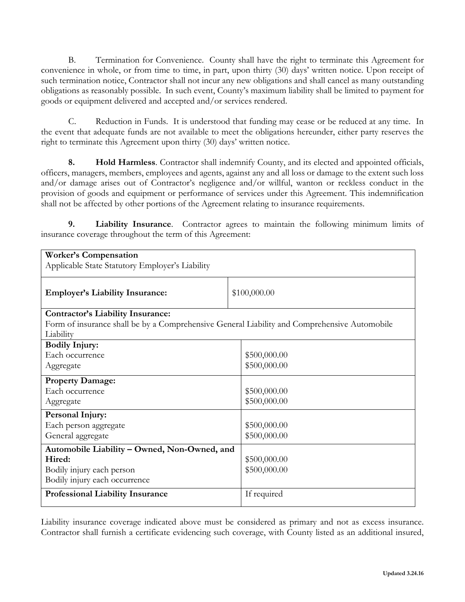B. Termination for Convenience. County shall have the right to terminate this Agreement for convenience in whole, or from time to time, in part, upon thirty (30) days' written notice. Upon receipt of such termination notice, Contractor shall not incur any new obligations and shall cancel as many outstanding obligations as reasonably possible. In such event, County's maximum liability shall be limited to payment for goods or equipment delivered and accepted and/or services rendered.

C. Reduction in Funds. It is understood that funding may cease or be reduced at any time. In the event that adequate funds are not available to meet the obligations hereunder, either party reserves the right to terminate this Agreement upon thirty (30) days' written notice.

**8. Hold Harmless**. Contractor shall indemnify County, and its elected and appointed officials, officers, managers, members, employees and agents, against any and all loss or damage to the extent such loss and/or damage arises out of Contractor's negligence and/or willful, wanton or reckless conduct in the provision of goods and equipment or performance of services under this Agreement. This indemnification shall not be affected by other portions of the Agreement relating to insurance requirements.

**9. Liability Insurance**. Contractor agrees to maintain the following minimum limits of insurance coverage throughout the term of this Agreement:

| <b>Worker's Compensation</b>                                                                 |              |
|----------------------------------------------------------------------------------------------|--------------|
| Applicable State Statutory Employer's Liability                                              |              |
|                                                                                              |              |
|                                                                                              |              |
| <b>Employer's Liability Insurance:</b>                                                       | \$100,000.00 |
|                                                                                              |              |
| <b>Contractor's Liability Insurance:</b>                                                     |              |
| Form of insurance shall be by a Comprehensive General Liability and Comprehensive Automobile |              |
| Liability                                                                                    |              |
| <b>Bodily Injury:</b>                                                                        |              |
| Each occurrence                                                                              | \$500,000.00 |
| Aggregate                                                                                    | \$500,000.00 |
|                                                                                              |              |
| <b>Property Damage:</b>                                                                      |              |
| Each occurrence                                                                              | \$500,000.00 |
| Aggregate                                                                                    | \$500,000.00 |
| <b>Personal Injury:</b>                                                                      |              |
| Each person aggregate                                                                        | \$500,000.00 |
| General aggregate                                                                            | \$500,000.00 |
|                                                                                              |              |
| Automobile Liability - Owned, Non-Owned, and                                                 |              |
| Hired:                                                                                       | \$500,000.00 |
| Bodily injury each person                                                                    | \$500,000.00 |
| Bodily injury each occurrence                                                                |              |
| <b>Professional Liability Insurance</b>                                                      | If required  |
|                                                                                              |              |

Liability insurance coverage indicated above must be considered as primary and not as excess insurance. Contractor shall furnish a certificate evidencing such coverage, with County listed as an additional insured,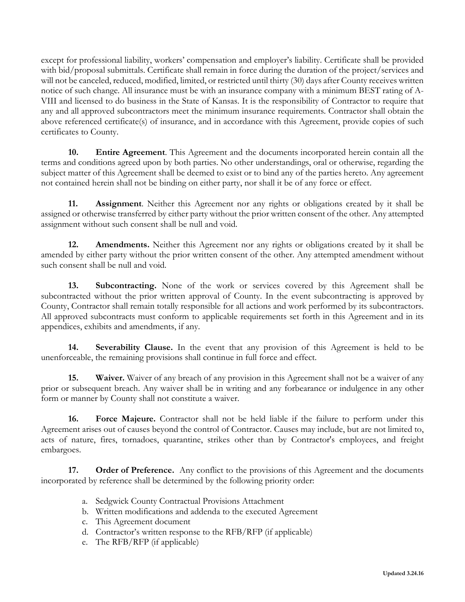except for professional liability, workers' compensation and employer's liability. Certificate shall be provided with bid/proposal submittals. Certificate shall remain in force during the duration of the project/services and will not be canceled, reduced, modified, limited, or restricted until thirty (30) days after County receives written notice of such change. All insurance must be with an insurance company with a minimum BEST rating of A-VIII and licensed to do business in the State of Kansas. It is the responsibility of Contractor to require that any and all approved subcontractors meet the minimum insurance requirements. Contractor shall obtain the above referenced certificate(s) of insurance, and in accordance with this Agreement, provide copies of such certificates to County.

**10. Entire Agreement**. This Agreement and the documents incorporated herein contain all the terms and conditions agreed upon by both parties. No other understandings, oral or otherwise, regarding the subject matter of this Agreement shall be deemed to exist or to bind any of the parties hereto. Any agreement not contained herein shall not be binding on either party, nor shall it be of any force or effect.

**11. Assignment**. Neither this Agreement nor any rights or obligations created by it shall be assigned or otherwise transferred by either party without the prior written consent of the other. Any attempted assignment without such consent shall be null and void.

**12. Amendments.** Neither this Agreement nor any rights or obligations created by it shall be amended by either party without the prior written consent of the other. Any attempted amendment without such consent shall be null and void.

**13. Subcontracting.** None of the work or services covered by this Agreement shall be subcontracted without the prior written approval of County. In the event subcontracting is approved by County, Contractor shall remain totally responsible for all actions and work performed by its subcontractors. All approved subcontracts must conform to applicable requirements set forth in this Agreement and in its appendices, exhibits and amendments, if any.

**14. Severability Clause.** In the event that any provision of this Agreement is held to be unenforceable, the remaining provisions shall continue in full force and effect.

**15. Waiver.** Waiver of any breach of any provision in this Agreement shall not be a waiver of any prior or subsequent breach. Any waiver shall be in writing and any forbearance or indulgence in any other form or manner by County shall not constitute a waiver.

**16. Force Majeure.** Contractor shall not be held liable if the failure to perform under this Agreement arises out of causes beyond the control of Contractor. Causes may include, but are not limited to, acts of nature, fires, tornadoes, quarantine, strikes other than by Contractor's employees, and freight embargoes.

**17. Order of Preference.** Any conflict to the provisions of this Agreement and the documents incorporated by reference shall be determined by the following priority order:

- a. Sedgwick County Contractual Provisions Attachment
- b. Written modifications and addenda to the executed Agreement
- c. This Agreement document
- d. Contractor's written response to the RFB/RFP (if applicable)
- e. The RFB/RFP (if applicable)